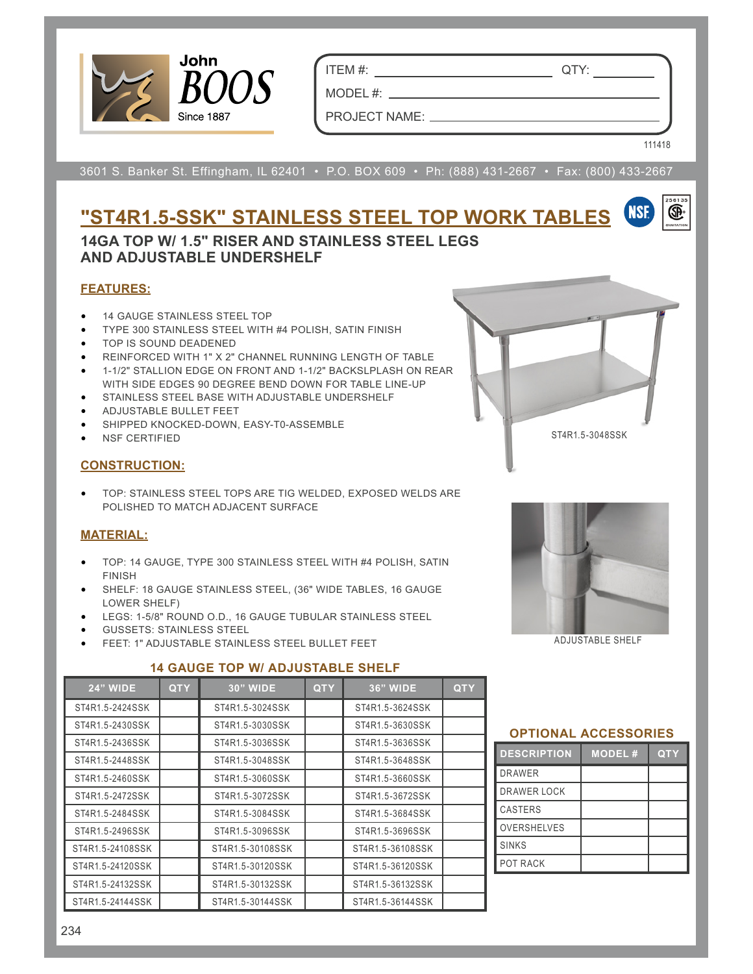

ITEM #: QTY:

MODEL  $#:$   $\_\_$ PROJECT NAME:  $\_\_$ 

3601 S. Banker St. Effingham, IL 62401 • P.O. BOX 609 • Ph: (888) 431-2667 • Fax: (800) 433-2667

## **"ST4R1.5-SSK" STAINLESS STEEL TOP WORK TABLES**

### **14GA TOP W/ 1.5" RISER AND STAINLESS STEEL LEGS AND ADJUSTABLE UNDERSHELF**

#### **FEATURES:**

- 14 GAUGE STAINLESS STEEL TOP
- TYPE 300 STAINLESS STEEL WITH #4 POLISH, SATIN FINISH
- TOP IS SOUND DEADENED
- REINFORCED WITH 1" X 2" CHANNEL RUNNING LENGTH OF TABLE
- 1-1/2" STALLION EDGE ON FRONT AND 1-1/2" BACKSLPLASH ON REAR WITH SIDE EDGES 90 DEGREE BEND DOWN FOR TABLE LINE-UP
- STAINLESS STEEL BASE WITH ADJUSTABLE UNDERSHELF
- ADJUSTABLE BULLET FEET
- SHIPPED KNOCKED-DOWN, EASY-T0-ASSEMBLE
- NSF CERTIFIED

#### **CONSTRUCTION:**

• TOP: STAINLESS STEEL TOPS ARE TIG WELDED, EXPOSED WELDS ARE POLISHED TO MATCH ADJACENT SURFACE

#### **MATERIAL:**

- TOP: 14 GAUGE, TYPE 300 STAINLESS STEEL WITH #4 POLISH, SATIN FINISH
- SHELF: 18 GAUGE STAINLESS STEEL, (36" WIDE TABLES, 16 GAUGE LOWER SHELF)
- LEGS: 1-5/8" ROUND O.D., 16 GAUGE TUBULAR STAINLESS STEEL
- GUSSETS: STAINLESS STEEL
- FEET: 1" ADJUSTABLE STAINLESS STEEL BULLET FEET

#### **14 GAUGE TOP W/ ADJUSTABLE SHELF**

| <b>24" WIDE</b>  | <b>QTY</b> | <b>30" WIDE</b>  | <b>QTY</b> | <b>36" WIDE</b>  | <b>QTY</b> |
|------------------|------------|------------------|------------|------------------|------------|
| ST4R1.5-2424SSK  |            | ST4R1.5-3024SSK  |            | ST4R1.5-3624SSK  |            |
| ST4R1.5-2430SSK  |            | ST4R1.5-3030SSK  |            | ST4R1.5-3630SSK  |            |
| ST4R1.5-2436SSK  |            | ST4R1.5-3036SSK  |            | ST4R1.5-3636SSK  |            |
| ST4R1.5-2448SSK  |            | ST4R1.5-3048SSK  |            | ST4R1.5-3648SSK  |            |
| ST4R1.5-2460SSK  |            | ST4R1.5-3060SSK  |            | ST4R1.5-3660SSK  |            |
| ST4R1.5-2472SSK  |            | ST4R1.5-3072SSK  |            | ST4R1.5-3672SSK  |            |
| ST4R1.5-2484SSK  |            | ST4R1.5-3084SSK  |            | ST4R1.5-3684SSK  |            |
| ST4R1.5-2496SSK  |            | ST4R1.5-3096SSK  |            | ST4R1.5-3696SSK  |            |
| ST4R1.5-24108SSK |            | ST4R1.5-30108SSK |            | ST4R1.5-36108SSK |            |
| ST4R1.5-24120SSK |            | ST4R1.5-30120SSK |            | ST4R1.5-36120SSK |            |
| ST4R1.5-24132SSK |            | ST4R1.5-30132SSK |            | ST4R1.5-36132SSK |            |
| ST4R1.5-24144SSK |            | ST4R1.5-30144SSK |            | ST4R1.5-36144SSK |            |



ST4R1.5-3048SSK

111418

œ.

ADJUSTABLE SHELF

### **OPTIONAL ACCESSORIES DESCRIPTION MODEL # QTY** DRAWER DRAWER LOCK CASTERS OVERSHELVES SINKS POT RACK

#### 234